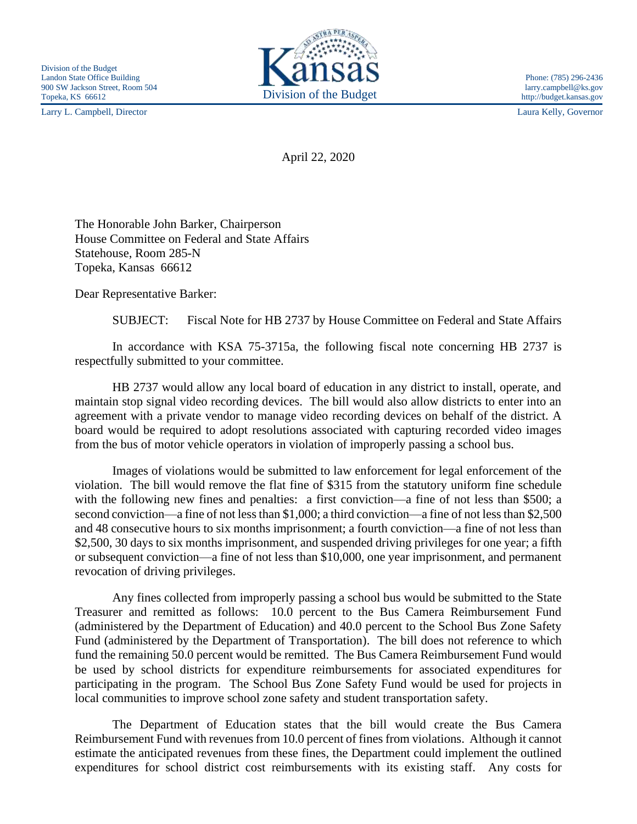Larry L. Campbell, Director Laura Kelly, Governor



http://budget.kansas.gov

April 22, 2020

The Honorable John Barker, Chairperson House Committee on Federal and State Affairs Statehouse, Room 285-N Topeka, Kansas 66612

Dear Representative Barker:

SUBJECT: Fiscal Note for HB 2737 by House Committee on Federal and State Affairs

In accordance with KSA 75-3715a, the following fiscal note concerning HB 2737 is respectfully submitted to your committee.

HB 2737 would allow any local board of education in any district to install, operate, and maintain stop signal video recording devices. The bill would also allow districts to enter into an agreement with a private vendor to manage video recording devices on behalf of the district. A board would be required to adopt resolutions associated with capturing recorded video images from the bus of motor vehicle operators in violation of improperly passing a school bus.

Images of violations would be submitted to law enforcement for legal enforcement of the violation. The bill would remove the flat fine of \$315 from the statutory uniform fine schedule with the following new fines and penalties: a first conviction—a fine of not less than \$500; a second conviction—a fine of not less than \$1,000; a third conviction—a fine of not less than \$2,500 and 48 consecutive hours to six months imprisonment; a fourth conviction—a fine of not less than \$2,500, 30 days to six months imprisonment, and suspended driving privileges for one year; a fifth or subsequent conviction—a fine of not less than \$10,000, one year imprisonment, and permanent revocation of driving privileges.

Any fines collected from improperly passing a school bus would be submitted to the State Treasurer and remitted as follows: 10.0 percent to the Bus Camera Reimbursement Fund (administered by the Department of Education) and 40.0 percent to the School Bus Zone Safety Fund (administered by the Department of Transportation). The bill does not reference to which fund the remaining 50.0 percent would be remitted. The Bus Camera Reimbursement Fund would be used by school districts for expenditure reimbursements for associated expenditures for participating in the program. The School Bus Zone Safety Fund would be used for projects in local communities to improve school zone safety and student transportation safety.

The Department of Education states that the bill would create the Bus Camera Reimbursement Fund with revenues from 10.0 percent of fines from violations. Although it cannot estimate the anticipated revenues from these fines, the Department could implement the outlined expenditures for school district cost reimbursements with its existing staff. Any costs for